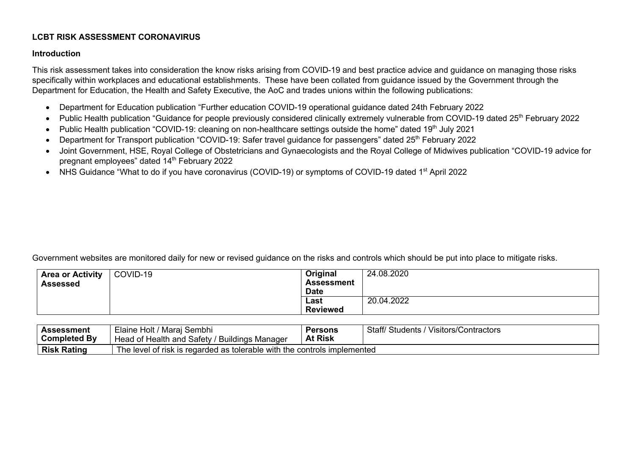## **LCBT RISK ASSESSMENT CORONAVIRUS**

## **Introduction**

This risk assessment takes into consideration the know risks arising from COVID-19 and best practice advice and guidance on managing those risks specifically within workplaces and educational establishments. These have been collated from guidance issued by the Government through the Department for Education, the Health and Safety Executive, the AoC and trades unions within the following publications:

- Department for Education publication "Further education COVID-19 operational guidance dated 24th February 2022
- Public Health publication "Guidance for people previously considered clinically extremely vulnerable from COVID-19 dated 25<sup>th</sup> February 2022
- Public Health publication "COVID-19: cleaning on non-healthcare settings outside the home" dated 19<sup>th</sup> July 2021
- Department for Transport publication "COVID-19: Safer travel quidance for passengers" dated 25<sup>th</sup> February 2022
- Joint Government, HSE, Royal College of Obstetricians and Gynaecologists and the Royal College of Midwives publication "COVID-19 advice for pregnant employees" dated 14<sup>th</sup> February 2022
- NHS Guidance "What to do if you have coronavirus (COVID-19) or symptoms of COVID-19 dated 1<sup>st</sup> April 2022

Government websites are monitored daily for new or revised guidance on the risks and controls which should be put into place to mitigate risks.

| <b>Area or Activity</b> | COVID-19 | Original          | 24.08.2020 |
|-------------------------|----------|-------------------|------------|
| <b>Assessed</b>         |          | <b>Assessment</b> |            |
|                         |          | <b>Date</b>       |            |
|                         |          | Last              | 20.04.2022 |
|                         |          | <b>Reviewed</b>   |            |

| Assessment<br><b>Completed By</b> | Elaine Holt /<br>' Marai Sembhi<br>' Buildings Manager<br>Head of Health and Safety | Persons<br><b>At Risk</b> | Staff/<br>Visitors/Contractors<br>′ Students |  |  |  |
|-----------------------------------|-------------------------------------------------------------------------------------|---------------------------|----------------------------------------------|--|--|--|
| <b>Risk Rating</b>                | The level of risk is regarded as tolerable with the controls implemented            |                           |                                              |  |  |  |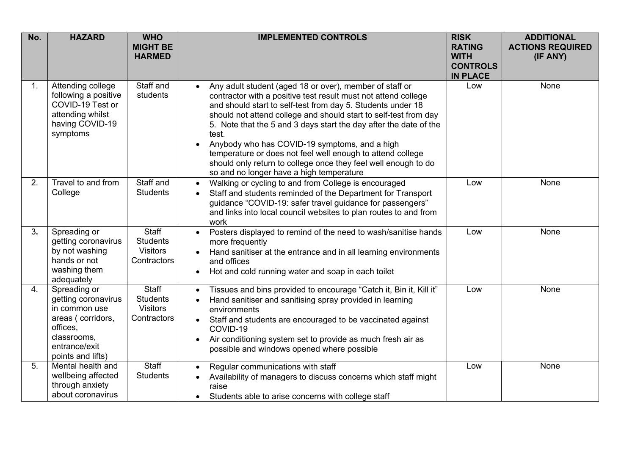| No. | <b>HAZARD</b>                                                                                                                              | <b>WHO</b><br><b>MIGHT BE</b><br><b>HARMED</b>                    | <b>IMPLEMENTED CONTROLS</b>                                                                                                                                                                                                                                                                                                                                                                                                                                                                                                                                             | <b>RISK</b><br><b>RATING</b><br><b>WITH</b><br><b>CONTROLS</b><br><b>IN PLACE</b> | <b>ADDITIONAL</b><br><b>ACTIONS REQUIRED</b><br>(IF ANY) |
|-----|--------------------------------------------------------------------------------------------------------------------------------------------|-------------------------------------------------------------------|-------------------------------------------------------------------------------------------------------------------------------------------------------------------------------------------------------------------------------------------------------------------------------------------------------------------------------------------------------------------------------------------------------------------------------------------------------------------------------------------------------------------------------------------------------------------------|-----------------------------------------------------------------------------------|----------------------------------------------------------|
| 1.  | Attending college<br>following a positive<br>COVID-19 Test or<br>attending whilst<br>having COVID-19<br>symptoms                           | Staff and<br>students                                             | Any adult student (aged 18 or over), member of staff or<br>contractor with a positive test result must not attend college<br>and should start to self-test from day 5. Students under 18<br>should not attend college and should start to self-test from day<br>5. Note that the 5 and 3 days start the day after the date of the<br>test.<br>Anybody who has COVID-19 symptoms, and a high<br>temperature or does not feel well enough to attend college<br>should only return to college once they feel well enough to do<br>so and no longer have a high temperature | Low                                                                               | None                                                     |
| 2.  | Travel to and from<br>College                                                                                                              | Staff and<br><b>Students</b>                                      | Walking or cycling to and from College is encouraged<br>$\bullet$<br>Staff and students reminded of the Department for Transport<br>guidance "COVID-19: safer travel guidance for passengers"<br>and links into local council websites to plan routes to and from<br>work                                                                                                                                                                                                                                                                                               | Low                                                                               | None                                                     |
| 3.  | Spreading or<br>getting coronavirus<br>by not washing<br>hands or not<br>washing them<br>adequately                                        | <b>Staff</b><br><b>Students</b><br><b>Visitors</b><br>Contractors | Posters displayed to remind of the need to wash/sanitise hands<br>more frequently<br>Hand sanitiser at the entrance and in all learning environments<br>and offices<br>Hot and cold running water and soap in each toilet<br>$\bullet$                                                                                                                                                                                                                                                                                                                                  | Low                                                                               | None                                                     |
| 4.  | Spreading or<br>getting coronavirus<br>in common use<br>areas (corridors,<br>offices,<br>classrooms,<br>entrance/exit<br>points and lifts) | <b>Staff</b><br><b>Students</b><br><b>Visitors</b><br>Contractors | Tissues and bins provided to encourage "Catch it, Bin it, Kill it"<br>$\bullet$<br>Hand sanitiser and sanitising spray provided in learning<br>environments<br>Staff and students are encouraged to be vaccinated against<br>COVID-19<br>Air conditioning system set to provide as much fresh air as<br>$\bullet$<br>possible and windows opened where possible                                                                                                                                                                                                         | Low                                                                               | None                                                     |
| 5.  | Mental health and<br>wellbeing affected<br>through anxiety<br>about coronavirus                                                            | <b>Staff</b><br><b>Students</b>                                   | Regular communications with staff<br>Availability of managers to discuss concerns which staff might<br>raise<br>Students able to arise concerns with college staff                                                                                                                                                                                                                                                                                                                                                                                                      | Low                                                                               | None                                                     |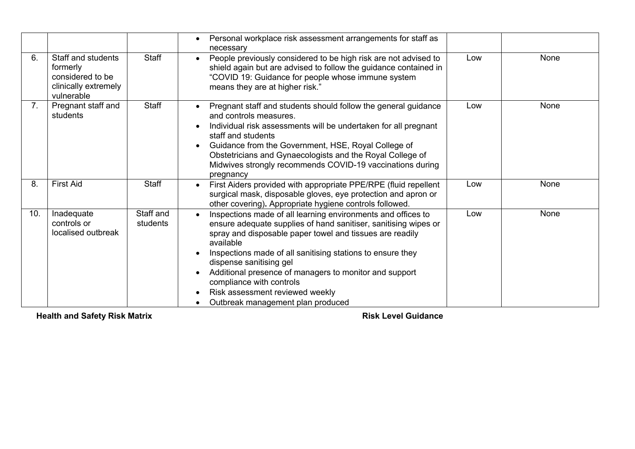|     |                                                                                          |                       | Personal workplace risk assessment arrangements for staff as<br>$\bullet$<br>necessary                                                                                                                                                                                                                                                                                                                                                                                       |     |      |
|-----|------------------------------------------------------------------------------------------|-----------------------|------------------------------------------------------------------------------------------------------------------------------------------------------------------------------------------------------------------------------------------------------------------------------------------------------------------------------------------------------------------------------------------------------------------------------------------------------------------------------|-----|------|
| 6.  | Staff and students<br>formerly<br>considered to be<br>clinically extremely<br>vulnerable | Staff                 | People previously considered to be high risk are not advised to<br>shield again but are advised to follow the guidance contained in<br>"COVID 19: Guidance for people whose immune system<br>means they are at higher risk."                                                                                                                                                                                                                                                 | Low | None |
| 7.  | Pregnant staff and<br>students                                                           | Staff                 | Pregnant staff and students should follow the general guidance<br>and controls measures.<br>Individual risk assessments will be undertaken for all pregnant<br>staff and students<br>Guidance from the Government, HSE, Royal College of<br>Obstetricians and Gynaecologists and the Royal College of<br>Midwives strongly recommends COVID-19 vaccinations during<br>pregnancy                                                                                              | Low | None |
| 8.  | <b>First Aid</b>                                                                         | Staff                 | First Aiders provided with appropriate PPE/RPE (fluid repellent<br>surgical mask, disposable gloves, eye protection and apron or<br>other covering). Appropriate hygiene controls followed.                                                                                                                                                                                                                                                                                  | Low | None |
| 10. | Inadequate<br>controls or<br>localised outbreak                                          | Staff and<br>students | Inspections made of all learning environments and offices to<br>$\bullet$<br>ensure adequate supplies of hand sanitiser, sanitising wipes or<br>spray and disposable paper towel and tissues are readily<br>available<br>Inspections made of all sanitising stations to ensure they<br>dispense sanitising gel<br>Additional presence of managers to monitor and support<br>compliance with controls<br>Risk assessment reviewed weekly<br>Outbreak management plan produced | Low | None |

**Health and Safety Risk Matrix Risk Level Guidance**